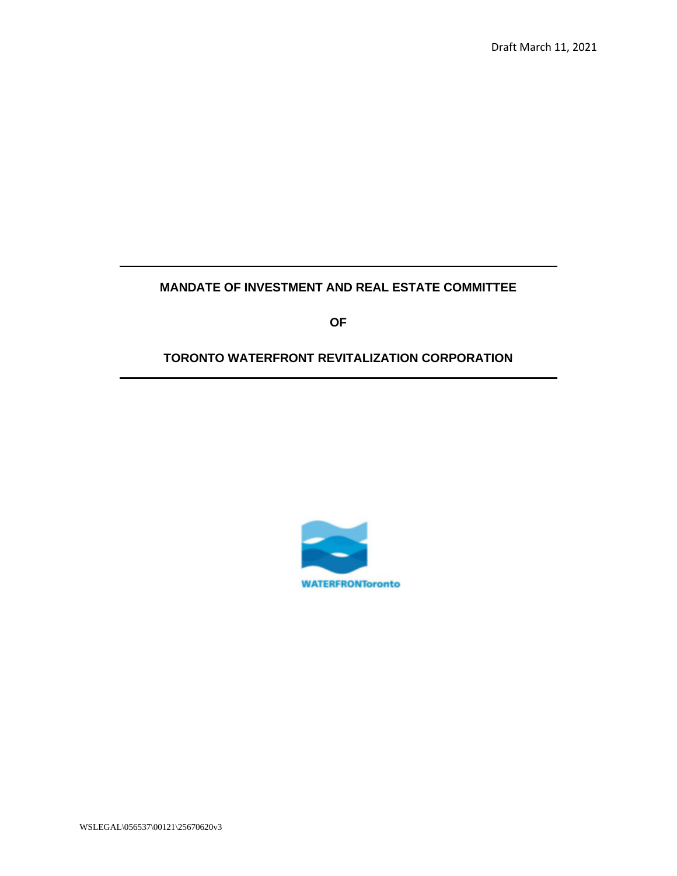# **MANDATE OF INVESTMENT AND REAL ESTATE COMMITTEE**

**OF**

# **TORONTO WATERFRONT REVITALIZATION CORPORATION**



WSLEGAL\056537\00121\25670620v3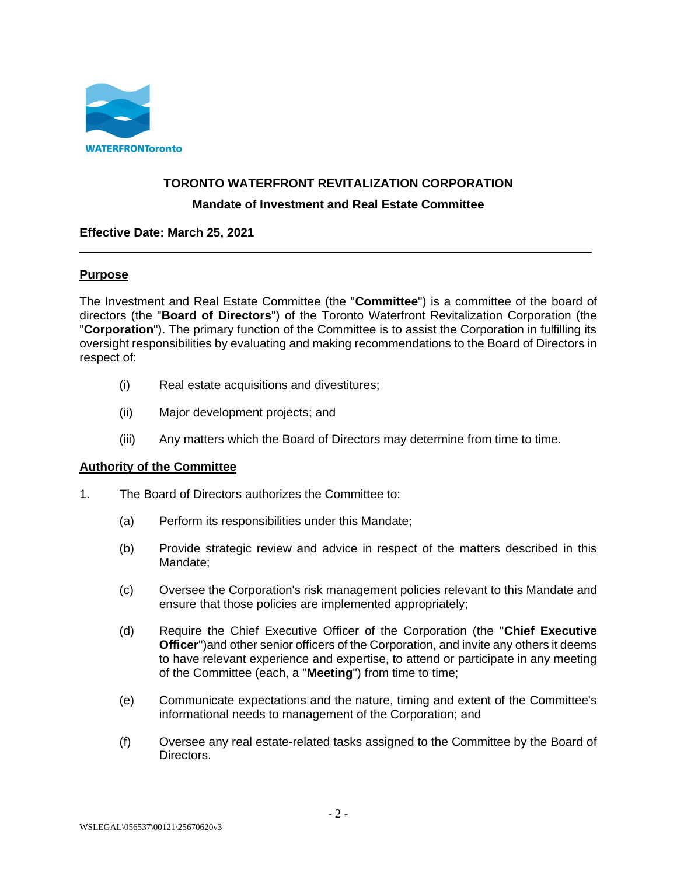

#### **TORONTO WATERFRONT REVITALIZATION CORPORATION**

#### **Mandate of Investment and Real Estate Committee**

#### **Effective Date: March 25, 2021**

#### **Purpose**

The Investment and Real Estate Committee (the "**Committee**") is a committee of the board of directors (the "**Board of Directors**") of the Toronto Waterfront Revitalization Corporation (the "**Corporation**"). The primary function of the Committee is to assist the Corporation in fulfilling its oversight responsibilities by evaluating and making recommendations to the Board of Directors in respect of:

- (i) Real estate acquisitions and divestitures;
- (ii) Major development projects; and
- (iii) Any matters which the Board of Directors may determine from time to time.

#### **Authority of the Committee**

- 1. The Board of Directors authorizes the Committee to:
	- (a) Perform its responsibilities under this Mandate;
	- (b) Provide strategic review and advice in respect of the matters described in this Mandate;
	- (c) Oversee the Corporation's risk management policies relevant to this Mandate and ensure that those policies are implemented appropriately;
	- (d) Require the Chief Executive Officer of the Corporation (the "**Chief Executive Officer**")and other senior officers of the Corporation, and invite any others it deems to have relevant experience and expertise, to attend or participate in any meeting of the Committee (each, a "**Meeting**") from time to time;
	- (e) Communicate expectations and the nature, timing and extent of the Committee's informational needs to management of the Corporation; and
	- (f) Oversee any real estate-related tasks assigned to the Committee by the Board of Directors.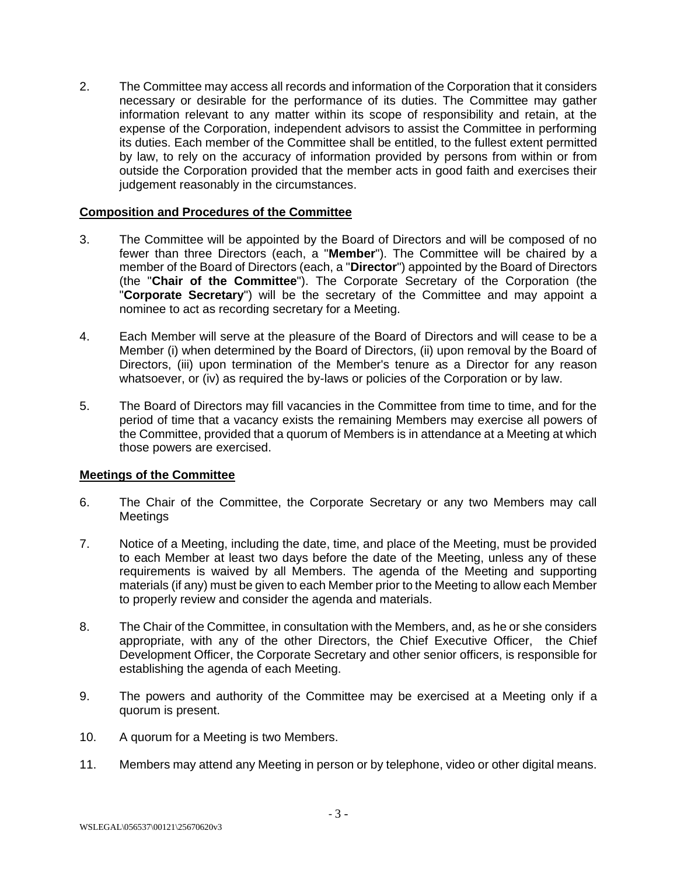2. The Committee may access all records and information of the Corporation that it considers necessary or desirable for the performance of its duties. The Committee may gather information relevant to any matter within its scope of responsibility and retain, at the expense of the Corporation, independent advisors to assist the Committee in performing its duties. Each member of the Committee shall be entitled, to the fullest extent permitted by law, to rely on the accuracy of information provided by persons from within or from outside the Corporation provided that the member acts in good faith and exercises their judgement reasonably in the circumstances.

#### **Composition and Procedures of the Committee**

- 3. The Committee will be appointed by the Board of Directors and will be composed of no fewer than three Directors (each, a "**Member**"). The Committee will be chaired by a member of the Board of Directors (each, a "**Director**") appointed by the Board of Directors (the "**Chair of the Committee**"). The Corporate Secretary of the Corporation (the "**Corporate Secretary**") will be the secretary of the Committee and may appoint a nominee to act as recording secretary for a Meeting.
- 4. Each Member will serve at the pleasure of the Board of Directors and will cease to be a Member (i) when determined by the Board of Directors, (ii) upon removal by the Board of Directors, (iii) upon termination of the Member's tenure as a Director for any reason whatsoever, or (iv) as required the by-laws or policies of the Corporation or by law.
- 5. The Board of Directors may fill vacancies in the Committee from time to time, and for the period of time that a vacancy exists the remaining Members may exercise all powers of the Committee, provided that a quorum of Members is in attendance at a Meeting at which those powers are exercised.

### **Meetings of the Committee**

- 6. The Chair of the Committee, the Corporate Secretary or any two Members may call **Meetings**
- 7. Notice of a Meeting, including the date, time, and place of the Meeting, must be provided to each Member at least two days before the date of the Meeting, unless any of these requirements is waived by all Members. The agenda of the Meeting and supporting materials (if any) must be given to each Member prior to the Meeting to allow each Member to properly review and consider the agenda and materials.
- 8. The Chair of the Committee, in consultation with the Members, and, as he or she considers appropriate, with any of the other Directors, the Chief Executive Officer, the Chief Development Officer, the Corporate Secretary and other senior officers, is responsible for establishing the agenda of each Meeting.
- 9. The powers and authority of the Committee may be exercised at a Meeting only if a quorum is present.
- 10. A quorum for a Meeting is two Members.
- 11. Members may attend any Meeting in person or by telephone, video or other digital means.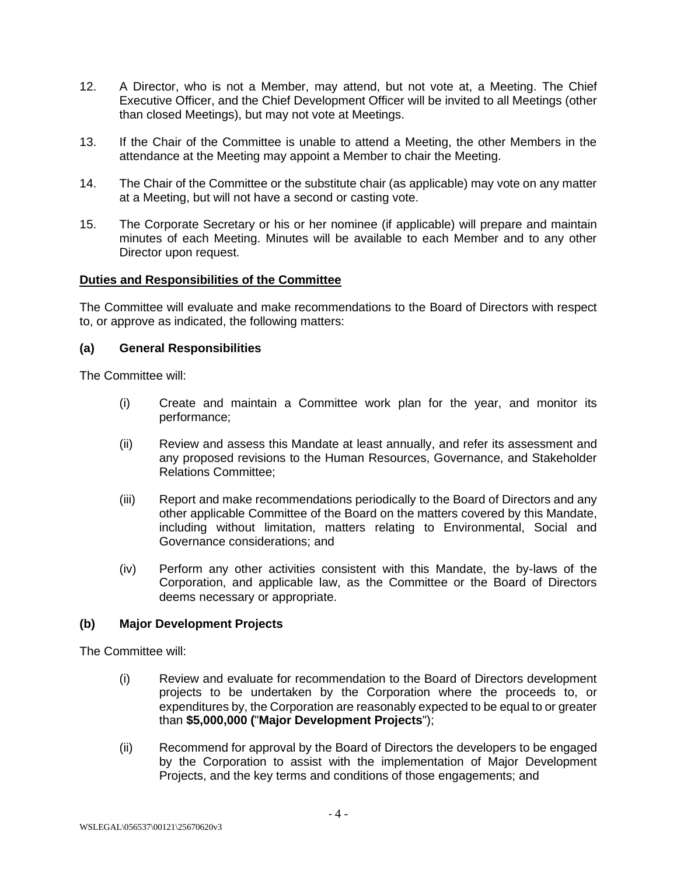- 12. A Director, who is not a Member, may attend, but not vote at, a Meeting. The Chief Executive Officer, and the Chief Development Officer will be invited to all Meetings (other than closed Meetings), but may not vote at Meetings.
- 13. If the Chair of the Committee is unable to attend a Meeting, the other Members in the attendance at the Meeting may appoint a Member to chair the Meeting.
- 14. The Chair of the Committee or the substitute chair (as applicable) may vote on any matter at a Meeting, but will not have a second or casting vote.
- 15. The Corporate Secretary or his or her nominee (if applicable) will prepare and maintain minutes of each Meeting. Minutes will be available to each Member and to any other Director upon request.

#### **Duties and Responsibilities of the Committee**

The Committee will evaluate and make recommendations to the Board of Directors with respect to, or approve as indicated, the following matters:

#### **(a) General Responsibilities**

The Committee will:

- (i) Create and maintain a Committee work plan for the year, and monitor its performance;
- (ii) Review and assess this Mandate at least annually, and refer its assessment and any proposed revisions to the Human Resources, Governance, and Stakeholder Relations Committee;
- (iii) Report and make recommendations periodically to the Board of Directors and any other applicable Committee of the Board on the matters covered by this Mandate, including without limitation, matters relating to Environmental, Social and Governance considerations; and
- (iv) Perform any other activities consistent with this Mandate, the by-laws of the Corporation, and applicable law, as the Committee or the Board of Directors deems necessary or appropriate.

### **(b) Major Development Projects**

The Committee will:

- (i) Review and evaluate for recommendation to the Board of Directors development projects to be undertaken by the Corporation where the proceeds to, or expenditures by, the Corporation are reasonably expected to be equal to or greater than **\$5,000,000 (**"**Major Development Projects**");
- (ii) Recommend for approval by the Board of Directors the developers to be engaged by the Corporation to assist with the implementation of Major Development Projects, and the key terms and conditions of those engagements; and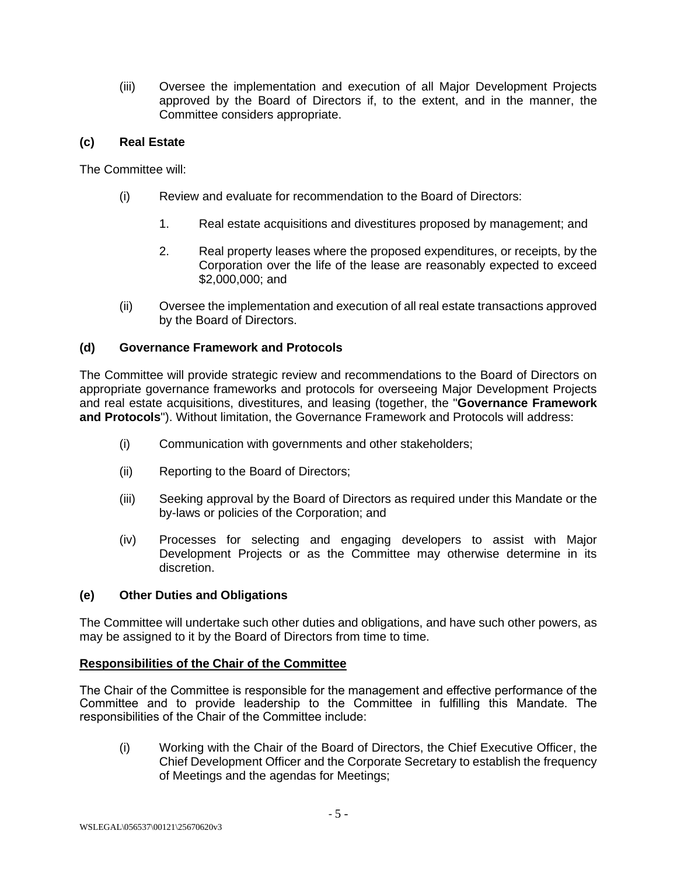(iii) Oversee the implementation and execution of all Major Development Projects approved by the Board of Directors if, to the extent, and in the manner, the Committee considers appropriate.

### **(c) Real Estate**

The Committee will:

- (i) Review and evaluate for recommendation to the Board of Directors:
	- 1. Real estate acquisitions and divestitures proposed by management; and
	- 2. Real property leases where the proposed expenditures, or receipts, by the Corporation over the life of the lease are reasonably expected to exceed \$2,000,000; and
- (ii) Oversee the implementation and execution of all real estate transactions approved by the Board of Directors.

## **(d) Governance Framework and Protocols**

The Committee will provide strategic review and recommendations to the Board of Directors on appropriate governance frameworks and protocols for overseeing Major Development Projects and real estate acquisitions, divestitures, and leasing (together, the "**Governance Framework and Protocols**"). Without limitation, the Governance Framework and Protocols will address:

- (i) Communication with governments and other stakeholders;
- (ii) Reporting to the Board of Directors;
- (iii) Seeking approval by the Board of Directors as required under this Mandate or the by-laws or policies of the Corporation; and
- (iv) Processes for selecting and engaging developers to assist with Major Development Projects or as the Committee may otherwise determine in its discretion.

### **(e) Other Duties and Obligations**

The Committee will undertake such other duties and obligations, and have such other powers, as may be assigned to it by the Board of Directors from time to time.

### **Responsibilities of the Chair of the Committee**

The Chair of the Committee is responsible for the management and effective performance of the Committee and to provide leadership to the Committee in fulfilling this Mandate. The responsibilities of the Chair of the Committee include:

(i) Working with the Chair of the Board of Directors, the Chief Executive Officer, the Chief Development Officer and the Corporate Secretary to establish the frequency of Meetings and the agendas for Meetings;